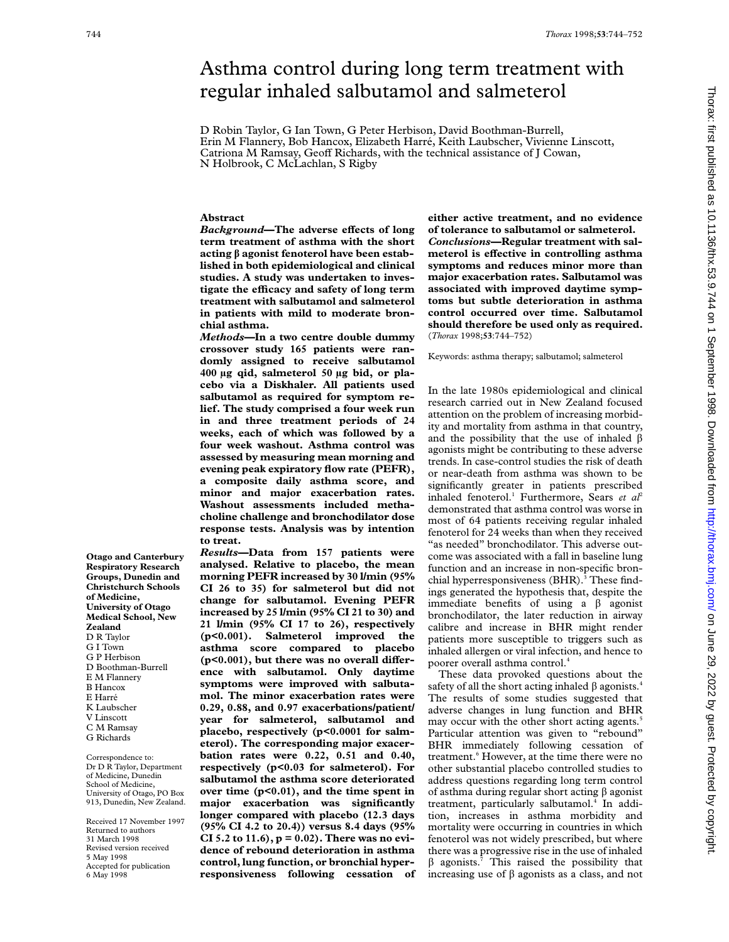# Asthma control during long term treatment with regular inhaled salbutamol and salmeterol

D Robin Taylor, G Ian Town, G Peter Herbison, David Boothman-Burrell, Erin M Flannery, Bob Hancox, Elizabeth Harré, Keith Laubscher, Vivienne Linscott, Catriona M Ramsay, Geoff Richards, with the technical assistance of J Cowan, N Holbrook, C McLachlan, S Rigby

# **Abstract**

*Background*—The adverse effects of long **term treatment of asthma with the short acting â agonist fenoterol have been established in both epidemiological and clinical studies. A study was undertaken to investigate the efficacy and safety of long term treatment with salbutamol and salmeterol in patients with mild to moderate bronchial asthma.**

*Methods***—In a two centre double dummy crossover study 165 patients were randomly assigned to receive salbutamol 400 µg qid, salmeterol 50 µg bid, or placebo via a Diskhaler. All patients used salbutamol as required for symptom relief. The study comprised a four week run in and three treatment periods of 24 weeks, each of which was followed by a four week washout. Asthma control was assessed by measuring mean morning and evening peak expiratory flow rate (PEFR), a composite daily asthma score, and minor and major exacerbation rates. Washout assessments included methacholine challenge and bronchodilator dose response tests. Analysis was by intention to treat.**

*Results***—Data from 157 patients were analysed. Relative to placebo, the mean morning PEFR increased by 30 l/min (95% CI 26 to 35) for salmeterol but did not change for salbutamol. Evening PEFR increased by 25 l/min (95% CI 21 to 30) and 21 l/min (95% CI 17 to 26), respectively (p<0.001). Salmeterol improved the asthma score compared to placebo** ( $p<0.001$ ), but there was no overall differ**ence with salbutamol. Only daytime symptoms were improved with salbutamol. The minor exacerbation rates were 0.29, 0.88, and 0.97 exacerbations/patient/ year for salmeterol, salbutamol and placebo, respectively (p<0.0001 for salmeterol). The corresponding major exacerbation rates were 0.22, 0.51 and 0.40, respectively (p<0.03 for salmeterol). For salbutamol the asthma score deteriorated over time (p<0.01), and the time spent in major exacerbation was significantly longer compared with placebo (12.3 days (95% CI 4.2 to 20.4)) versus 8.4 days (95% CI 5.2 to 11.6), p = 0.02). There was no evidence of rebound deterioration in asthma control, lung function, or bronchial hyperresponsiveness following cessation of** **either active treatment, and no evidence of tolerance to salbutamol or salmeterol.** *Conclusions***—Regular treatment with sal**meterol is effective in controlling asthma **symptoms and reduces minor more than major exacerbation rates. Salbutamol was associated with improved daytime symptoms but subtle deterioration in asthma control occurred over time. Salbutamol should therefore be used only as required.** (*Thorax* 1998;**53**:744–752)

Keywords: asthma therapy; salbutamol; salmeterol

In the late 1980s epidemiological and clinical research carried out in New Zealand focused attention on the problem of increasing morbidity and mortality from asthma in that country, and the possibility that the use of inhaled  $\beta$ agonists might be contributing to these adverse trends. In case-control studies the risk of death or near-death from asthma was shown to be significantly greater in patients prescribed inhaled fenoterol.<sup>1</sup> Furthermore, Sears et al<sup>2</sup> demonstrated that asthma control was worse in most of 64 patients receiving regular inhaled fenoterol for 24 weeks than when they received "as needed" bronchodilator. This adverse outcome was associated with a fall in baseline lung function and an increase in non-specific bronchial hyperresponsiveness (BHR).<sup>3</sup> These findings generated the hypothesis that, despite the immediate benefits of using a  $\beta$  agonist bronchodilator, the later reduction in airway calibre and increase in BHR might render patients more susceptible to triggers such as inhaled allergen or viral infection, and hence to poorer overall asthma control.4

These data provoked questions about the safety of all the short acting inhaled  $\beta$  agonists.<sup>4</sup> The results of some studies suggested that adverse changes in lung function and BHR may occur with the other short acting agents.<sup>5</sup> Particular attention was given to "rebound" BHR immediately following cessation of treatment.<sup>6</sup> However, at the time there were no other substantial placebo controlled studies to address questions regarding long term control of asthma during regular short acting  $\beta$  agonist treatment, particularly salbutamol.<sup>4</sup> In addition, increases in asthma morbidity and mortality were occurring in countries in which fenoterol was not widely prescribed, but where there was a progressive rise in the use of inhaled  $\beta$  agonists.<sup>7</sup> This raised the possibility that increasing use of  $\beta$  agonists as a class, and not

**Otago and Canterbury Respiratory Research Groups, Dunedin and Christchurch Schools of Medicine, University of Otago Medical School, New Zealand** D R Taylor G I Town G P Herbison D Boothman-Burrell E M Flannery B Hancox E Harré K Laubscher V Linscott C M Ramsay G Richards

Correspondence to: Dr D R Taylor, Department of Medicine, Dunedin School of Medicine, University of Otago, PO Box 913, Dunedin, New Zealand.

Received 17 November 1997 Returned to authors 31 March 1998 Revised version received 5 May 1998 Accepted for publication 6 May 1998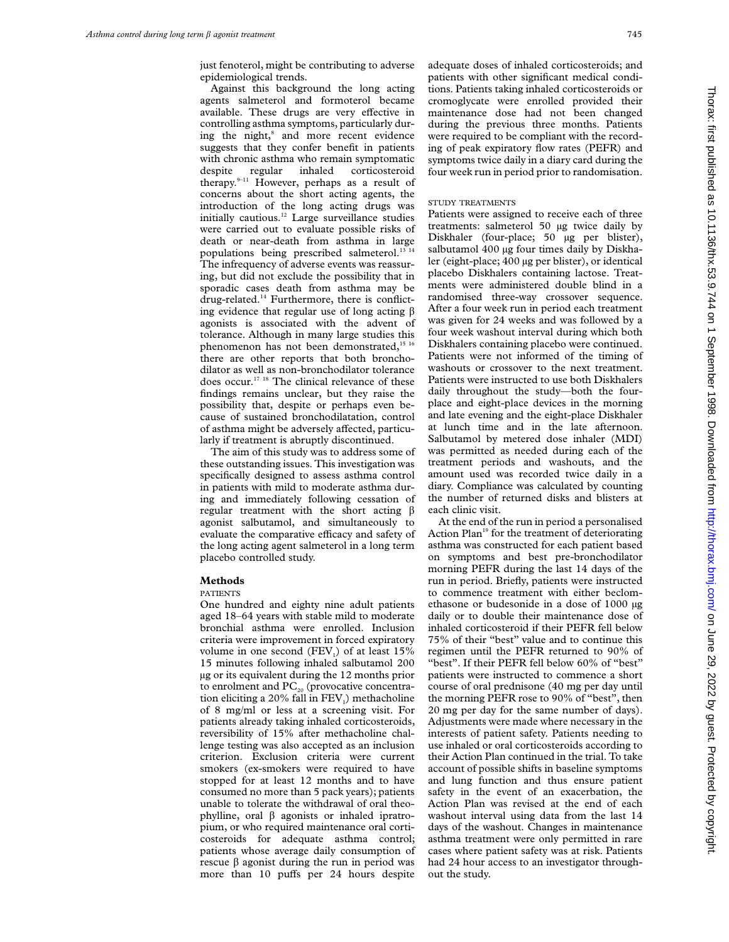just fenoterol, might be contributing to adverse epidemiological trends.

Against this background the long acting agents salmeterol and formoterol became available. These drugs are very effective in controlling asthma symptoms, particularly during the night,<sup>8</sup> and more recent evidence suggests that they confer benefit in patients with chronic asthma who remain symptomatic despite regular inhaled corticosteroid therapy.9–11 However, perhaps as a result of concerns about the short acting agents, the introduction of the long acting drugs was initially cautious.12 Large surveillance studies were carried out to evaluate possible risks of death or near-death from asthma in large populations being prescribed salmeterol.<sup>13</sup> The infrequency of adverse events was reassuring, but did not exclude the possibility that in sporadic cases death from asthma may be drug-related.14 Furthermore, there is conflicting evidence that regular use of long acting  $\beta$ agonists is associated with the advent of tolerance. Although in many large studies this phenomenon has not been demonstrated,<sup>15 16</sup> there are other reports that both bronchodilator as well as non-bronchodilator tolerance does occur.17 18 The clinical relevance of these findings remains unclear, but they raise the possibility that, despite or perhaps even because of sustained bronchodilatation, control of asthma might be adversely affected, particularly if treatment is abruptly discontinued.

The aim of this study was to address some of these outstanding issues. This investigation was specifically designed to assess asthma control in patients with mild to moderate asthma during and immediately following cessation of regular treatment with the short acting  $\beta$ agonist salbutamol, and simultaneously to evaluate the comparative efficacy and safety of the long acting agent salmeterol in a long term placebo controlled study.

# **Methods**

#### PATIENTS

One hundred and eighty nine adult patients aged 18–64 years with stable mild to moderate bronchial asthma were enrolled. Inclusion criteria were improvement in forced expiratory volume in one second  $(FEV_1)$  of at least 15% 15 minutes following inhaled salbutamol 200 µg or its equivalent during the 12 months prior to enrolment and  $PC_{20}$  (provocative concentration eliciting a 20% fall in  $FEV<sub>1</sub>$ ) methacholine of 8 mg/ml or less at a screening visit. For patients already taking inhaled corticosteroids, reversibility of 15% after methacholine challenge testing was also accepted as an inclusion criterion. Exclusion criteria were current smokers (ex-smokers were required to have stopped for at least 12 months and to have consumed no more than 5 pack years); patients unable to tolerate the withdrawal of oral theophylline, oral  $\beta$  agonists or inhaled ipratropium, or who required maintenance oral corticosteroids for adequate asthma control; patients whose average daily consumption of rescue  $\beta$  agonist during the run in period was more than 10 puffs per 24 hours despite

adequate doses of inhaled corticosteroids; and patients with other significant medical conditions. Patients taking inhaled corticosteroids or cromoglycate were enrolled provided their maintenance dose had not been changed during the previous three months. Patients were required to be compliant with the recording of peak expiratory flow rates (PEFR) and symptoms twice daily in a diary card during the four week run in period prior to randomisation.

# STUDY TREATMENTS

Patients were assigned to receive each of three treatments: salmeterol 50 µg twice daily by Diskhaler (four-place; 50 µg per blister), salbutamol 400 µg four times daily by Diskhaler (eight-place; 400 µg per blister), or identical placebo Diskhalers containing lactose. Treatments were administered double blind in a randomised three-way crossover sequence. After a four week run in period each treatment was given for 24 weeks and was followed by a four week washout interval during which both Diskhalers containing placebo were continued. Patients were not informed of the timing of washouts or crossover to the next treatment. Patients were instructed to use both Diskhalers daily throughout the study—both the fourplace and eight-place devices in the morning and late evening and the eight-place Diskhaler at lunch time and in the late afternoon. Salbutamol by metered dose inhaler (MDI) was permitted as needed during each of the treatment periods and washouts, and the amount used was recorded twice daily in a diary. Compliance was calculated by counting the number of returned disks and blisters at each clinic visit.

At the end of the run in period a personalised Action Plan<sup>19</sup> for the treatment of deteriorating asthma was constructed for each patient based on symptoms and best pre-bronchodilator morning PEFR during the last 14 days of the run in period. Briefly, patients were instructed to commence treatment with either beclomethasone or budesonide in a dose of 1000 µg daily or to double their maintenance dose of inhaled corticosteroid if their PEFR fell below 75% of their "best" value and to continue this regimen until the PEFR returned to 90% of "best". If their PEFR fell below 60% of "best" patients were instructed to commence a short course of oral prednisone (40 mg per day until the morning PEFR rose to 90% of "best", then 20 mg per day for the same number of days). Adjustments were made where necessary in the interests of patient safety. Patients needing to use inhaled or oral corticosteroids according to their Action Plan continued in the trial. To take account of possible shifts in baseline symptoms and lung function and thus ensure patient safety in the event of an exacerbation, the Action Plan was revised at the end of each washout interval using data from the last 14 days of the washout. Changes in maintenance asthma treatment were only permitted in rare cases where patient safety was at risk. Patients had 24 hour access to an investigator throughout the study.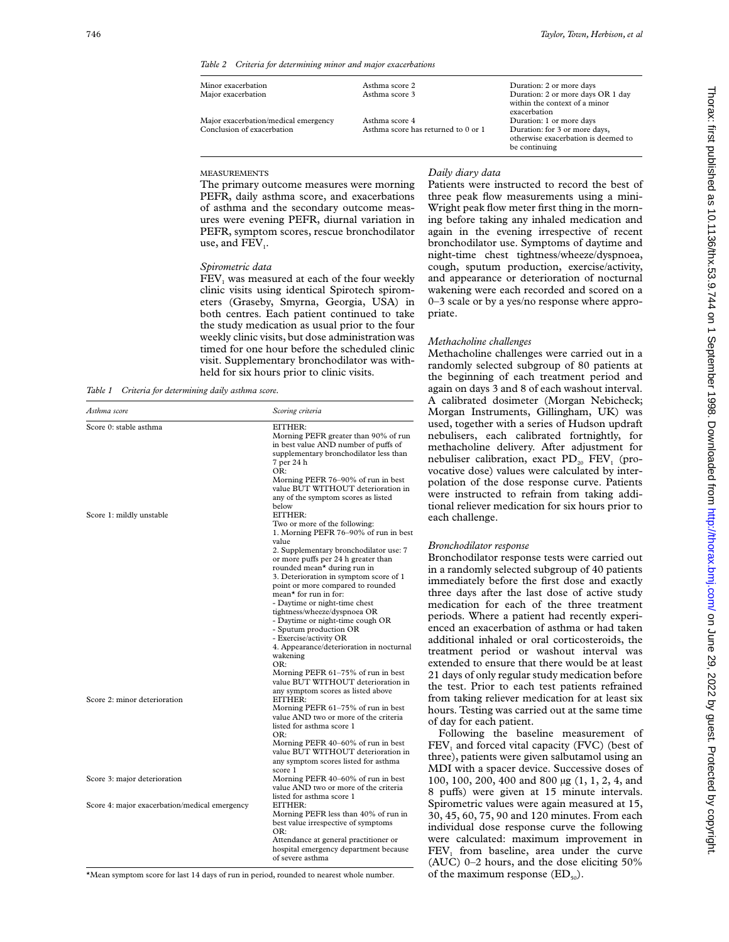*Table 2 Criteria for determining minor and major exacerbations*

| Minor exacerbation                                                 | Asthma score 2                                        | Duration: 2 or more days                                                                                          |
|--------------------------------------------------------------------|-------------------------------------------------------|-------------------------------------------------------------------------------------------------------------------|
| Major exacerbation                                                 | Asthma score 3                                        | Duration: 2 or more days OR 1 day<br>within the context of a minor<br>exacerbation                                |
| Major exacerbation/medical emergency<br>Conclusion of exacerbation | Asthma score 4<br>Asthma score has returned to 0 or 1 | Duration: 1 or more days<br>Duration: for 3 or more days,<br>otherwise exacerbation is deemed to<br>be continuing |
|                                                                    |                                                       |                                                                                                                   |

#### MEASUREMENTS

The primary outcome measures were morning PEFR, daily asthma score, and exacerbations of asthma and the secondary outcome measures were evening PEFR, diurnal variation in PEFR, symptom scores, rescue bronchodilator use, and  $FEV<sub>1</sub>$ .

#### *Spirometric data*

FEV<sub>1</sub> was measured at each of the four weekly clinic visits using identical Spirotech spirometers (Graseby, Smyrna, Georgia, USA) in both centres. Each patient continued to take the study medication as usual prior to the four weekly clinic visits, but dose administration was timed for one hour before the scheduled clinic visit. Supplementary bronchodilator was withheld for six hours prior to clinic visits.

*Table 1 Criteria for determining daily asthma score.*

*Asthma score Scoring criteria*

| Patients were instructed to record the best of  |
|-------------------------------------------------|
| three peak flow measurements using a mini-      |
| Wright peak flow meter first thing in the morn- |
| ing before taking any inhaled medication and    |
| again in the evening irrespective of recent     |
| bronchodilator use. Symptoms of daytime and     |
| night-time chest tightness/wheeze/dyspnoea.     |

bronchodilator use. Symptoms of daytime and night-time chest tightness/wheeze/dyspnoea, cough, sputum production, exercise/activity, and appearance or deterioration of nocturnal wakening were each recorded and scored on a 0–3 scale or by a yes/no response where appropriate.

#### *Methacholine challenges*

*Daily diary data*

Methacholine challenges were carried out in a randomly selected subgroup of 80 patients at the beginning of each treatment period and again on days 3 and 8 of each washout interval. A calibrated dosimeter (Morgan Nebicheck; Morgan Instruments, Gillingham, UK) was used, together with a series of Hudson updraft nebulisers, each calibrated fortnightly, for methacholine delivery. After adjustment for nebuliser calibration, exact  $PD_{20}$   $FEV_1$  (provocative dose) values were calculated by interpolation of the dose response curve. Patients were instructed to refrain from taking additional reliever medication for six hours prior to each challenge.

#### *Bronchodilator response*

Bronchodilator response tests were carried out in a randomly selected subgroup of 40 patients immediately before the first dose and exactly three days after the last dose of active study medication for each of the three treatment periods. Where a patient had recently experienced an exacerbation of asthma or had taken additional inhaled or oral corticosteroids, the treatment period or washout interval was extended to ensure that there would be at least 21 days of only regular study medication before the test. Prior to each test patients refrained from taking reliever medication for at least six hours. Testing was carried out at the same time of day for each patient.

Following the baseline measurement of FEV<sub>1</sub> and forced vital capacity (FVC) (best of three), patients were given salbutamol using an MDI with a spacer device. Successive doses of 100, 100, 200, 400 and 800 µg (1, 1, 2, 4, and 8 puffs) were given at 15 minute intervals. Spirometric values were again measured at 15, 30, 45, 60, 75, 90 and 120 minutes. From each individual dose response curve the following were calculated: maximum improvement in FEV<sub>1</sub> from baseline, area under the curve (AUC) 0–2 hours, and the dose eliciting 50% of the maximum response  $(ED_{50})$ .

Thorax: first published as 10.1136/th. 23.22 by 2.544 on 1 September 1998. Downloaded from the charax.bmj.com/<br>Thorax: first published as 10.1136/th.23.9.744 on 1 September 1998. Downloaded from 1998. Downloaded from 1999. Thorax: first published as 10.1136/thx.53.9.744 on 1 September 1998. Downloaded from http://thorax.bmj.com/ on June 29, 2022 by guest. Protected by copyright

| Score 0: stable asthma                        | EITHER:                                  |
|-----------------------------------------------|------------------------------------------|
|                                               | Morning PEFR greater than 90% of run     |
|                                               | in best value AND number of puffs of     |
|                                               | supplementary bronchodilator less than   |
|                                               | 7 per 24 h                               |
|                                               | OR:                                      |
|                                               | Morning PEFR 76–90% of run in best       |
|                                               | value BUT WITHOUT deterioration in       |
|                                               | any of the symptom scores as listed      |
|                                               | helow                                    |
| Score 1: mildly unstable                      | EITHER:                                  |
|                                               | Two or more of the following:            |
|                                               | 1. Morning PEFR 76-90% of run in best    |
|                                               | value                                    |
|                                               | 2. Supplementary bronchodilator use: 7   |
|                                               | or more puffs per 24 h greater than      |
|                                               | rounded mean* during run in              |
|                                               | 3. Deterioration in symptom score of 1   |
|                                               |                                          |
|                                               | point or more compared to rounded        |
|                                               | mean* for run in for:                    |
|                                               | - Daytime or night-time chest            |
|                                               | tightness/wheeze/dyspnoea OR             |
|                                               | - Daytime or night-time cough OR         |
|                                               | - Sputum production OR                   |
|                                               | - Exercise/activity OR                   |
|                                               | 4. Appearance/deterioration in nocturnal |
|                                               | wakening                                 |
|                                               | OR:                                      |
|                                               | Morning PEFR 61–75% of run in best       |
|                                               | value BUT WITHOUT deterioration in       |
|                                               | any symptom scores as listed above       |
| Score 2: minor deterioration                  | EITHER:                                  |
|                                               | Morning PEFR 61–75% of run in best       |
|                                               | value AND two or more of the criteria    |
|                                               | listed for asthma score 1                |
|                                               | OR:                                      |
|                                               | Morning PEFR 40–60% of run in best       |
|                                               | value BUT WITHOUT deterioration in       |
|                                               | any symptom scores listed for asthma     |
|                                               | score 1                                  |
| Score 3: major deterioration                  | Morning PEFR 40–60% of run in best       |
|                                               | value AND two or more of the criteria    |
|                                               | listed for asthma score 1                |
|                                               | EITHER:                                  |
| Score 4: major exacerbation/medical emergency |                                          |
|                                               | Morning PEFR less than 40% of run in     |
|                                               | best value irrespective of symptoms      |
|                                               | OR:                                      |
|                                               | Attendance at general practitioner or    |
|                                               | hospital emergency department because    |
|                                               | of severe asthma                         |
|                                               |                                          |

\*Mean symptom score for last 14 days of run in period, rounded to nearest whole number.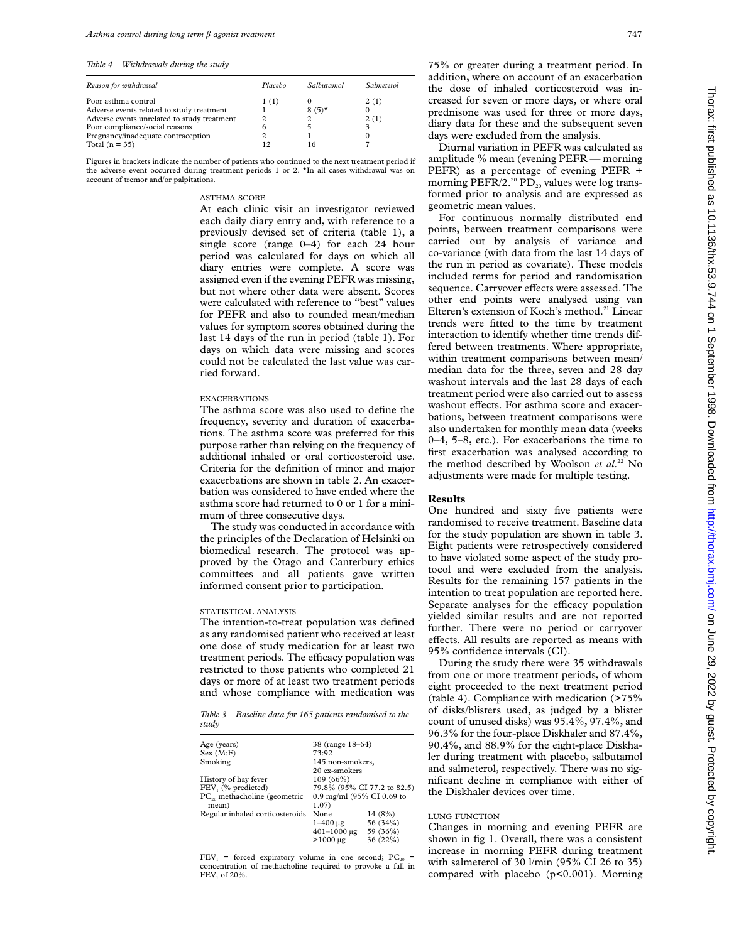*Table 4 Withdrawals during the study*

| Reason for withdrawal                       | Placebo | Salbutamol | Salmeterol |
|---------------------------------------------|---------|------------|------------|
| Poor asthma control                         | 1(1)    |            | 2(1)       |
| Adverse events related to study treatment   |         | $8(5)$ *   |            |
| Adverse events unrelated to study treatment |         |            | 2(1)       |
| Poor compliance/social reasons              |         |            |            |
| Pregnancy/inadequate contraception          |         |            |            |
| Total $(n = 35)$                            | 12      | 16         |            |

Figures in brackets indicate the number of patients who continued to the next treatment period if the adverse event occurred during treatment periods 1 or 2. \*In all cases withdrawal was on account of tremor and/or palpitations.

## ASTHMA SCORE

At each clinic visit an investigator reviewed each daily diary entry and, with reference to a previously devised set of criteria (table 1), a single score (range 0–4) for each 24 hour period was calculated for days on which all diary entries were complete. A score was assigned even if the evening PEFR was missing, but not where other data were absent. Scores were calculated with reference to "best" values for PEFR and also to rounded mean/median values for symptom scores obtained during the last 14 days of the run in period (table 1). For days on which data were missing and scores could not be calculated the last value was carried forward.

## EXACERBATIONS

The asthma score was also used to define the frequency, severity and duration of exacerbations. The asthma score was preferred for this purpose rather than relying on the frequency of additional inhaled or oral corticosteroid use. Criteria for the definition of minor and major exacerbations are shown in table 2. An exacerbation was considered to have ended where the asthma score had returned to 0 or 1 for a minimum of three consecutive days.

The study was conducted in accordance with the principles of the Declaration of Helsinki on biomedical research. The protocol was approved by the Otago and Canterbury ethics committees and all patients gave written informed consent prior to participation.

#### STATISTICAL ANALYSIS

The intention-to-treat population was defined as any randomised patient who received at least one dose of study medication for at least two treatment periods. The efficacy population was restricted to those patients who completed 21 days or more of at least two treatment periods and whose compliance with medication was

*Table 3 Baseline data for 165 patients randomised to the study*

| Age (years)                       | 38 (range 18-64)            |          |  |
|-----------------------------------|-----------------------------|----------|--|
| Sex (M:F)                         | 73:92                       |          |  |
| Smoking<br>145 non-smokers,       |                             |          |  |
|                                   | 20 ex-smokers               |          |  |
| History of hay fever              | 109(66%)                    |          |  |
| FEV, (% predicted)                | 79.8% (95% CI 77.2 to 82.5) |          |  |
| $PC_{20}$ methacholine (geometric | 0.9 mg/ml (95% CI 0.69 to   |          |  |
| mean)                             | 1.07)                       |          |  |
| Regular inhaled corticosteroids   | None                        | 14(8%)   |  |
|                                   | $1 - 400 \mu$ g             | 56 (34%) |  |
|                                   | $401 - 1000 \text{ µg}$     | 59 (36%) |  |
|                                   | $>1000 \mu$ g               | 36 (22%) |  |
|                                   |                             |          |  |

 $FEV<sub>1</sub>$  = forced expiratory volume in one second; PC<sub>20</sub> = concentration of methacholine required to provoke a fall in FEV<sub>1</sub> of 20%.

75% or greater during a treatment period. In addition, where on account of an exacerbation the dose of inhaled corticosteroid was increased for seven or more days, or where oral prednisone was used for three or more days, diary data for these and the subsequent seven days were excluded from the analysis.

Diurnal variation in PEFR was calculated as amplitude % mean (evening PEFR — morning PEFR) as a percentage of evening PEFR + morning PEFR/2.<sup>20</sup> PD<sub>20</sub> values were log transformed prior to analysis and are expressed as geometric mean values.

For continuous normally distributed end points, between treatment comparisons were carried out by analysis of variance and co-variance (with data from the last 14 days of the run in period as covariate). These models included terms for period and randomisation sequence. Carryover effects were assessed. The other end points were analysed using van Elteren's extension of Koch's method.<sup>21</sup> Linear trends were fitted to the time by treatment interaction to identify whether time trends differed between treatments. Where appropriate, within treatment comparisons between mean/ median data for the three, seven and 28 day washout intervals and the last 28 days of each treatment period were also carried out to assess washout effects. For asthma score and exacerbations, between treatment comparisons were also undertaken for monthly mean data (weeks 0–4, 5–8, etc.). For exacerbations the time to first exacerbation was analysed according to the method described by Woolson *et al*. <sup>22</sup> No adjustments were made for multiple testing.

#### **Results**

One hundred and sixty five patients were randomised to receive treatment. Baseline data for the study population are shown in table 3. Eight patients were retrospectively considered to have violated some aspect of the study protocol and were excluded from the analysis. Results for the remaining 157 patients in the intention to treat population are reported here. Separate analyses for the efficacy population yielded similar results and are not reported further. There were no period or carryover effects. All results are reported as means with 95% confidence intervals (CI).

During the study there were 35 withdrawals from one or more treatment periods, of whom eight proceeded to the next treatment period (table 4). Compliance with medication (>75% of disks/blisters used, as judged by a blister count of unused disks) was 95.4%, 97.4%, and 96.3% for the four-place Diskhaler and 87.4%, 90.4%, and 88.9% for the eight-place Diskhaler during treatment with placebo, salbutamol and salmeterol, respectively. There was no significant decline in compliance with either of the Diskhaler devices over time.

# LUNG FUNCTION

Changes in morning and evening PEFR are shown in fig 1. Overall, there was a consistent increase in morning PEFR during treatment with salmeterol of 30 l/min (95% CI 26 to 35) compared with placebo (p<0.001). Morning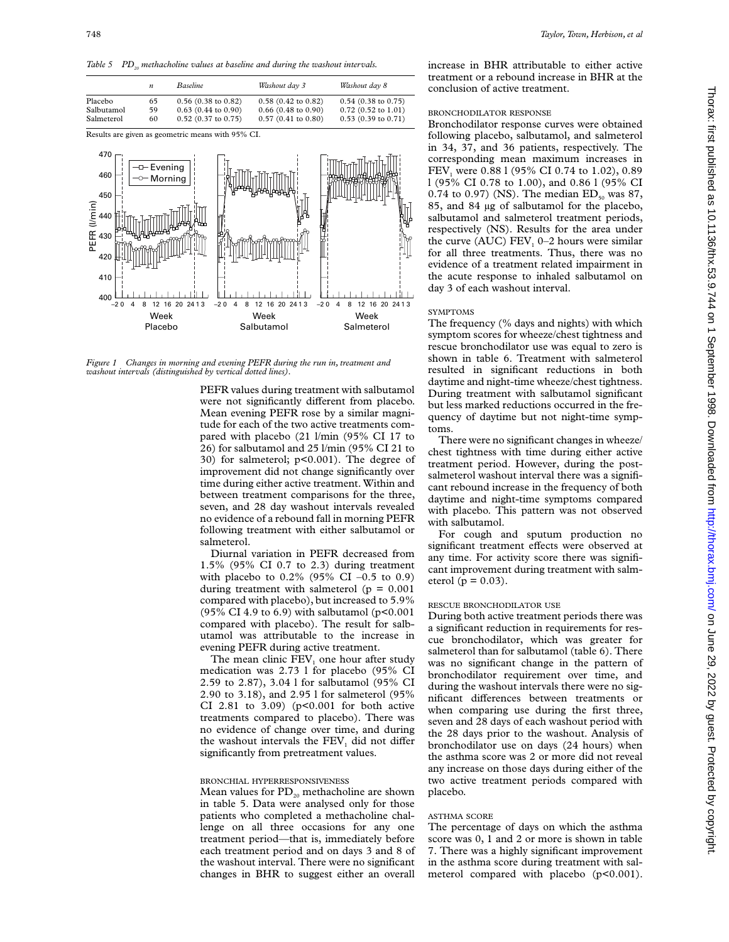Table 5 PD<sub>20</sub> methacholine values at baseline and during the washout intervals.



*Figure 1 Changes in morning and evening PEFR during the run in, treatment and washout intervals (distinguished by vertical dotted lines).*

PEFR values during treatment with salbutamol were not significantly different from placebo. Mean evening PEFR rose by a similar magnitude for each of the two active treatments compared with placebo (21 l/min (95% CI 17 to 26) for salbutamol and 25 l/min (95% CI 21 to 30) for salmeterol; p<0.001). The degree of improvement did not change significantly over time during either active treatment. Within and between treatment comparisons for the three, seven, and 28 day washout intervals revealed no evidence of a rebound fall in morning PEFR following treatment with either salbutamol or salmeterol.

Diurnal variation in PEFR decreased from 1.5% (95% CI 0.7 to 2.3) during treatment with placebo to  $0.2\%$  (95% CI –0.5 to 0.9) during treatment with salmeterol ( $p = 0.001$ ) compared with placebo), but increased to 5.9% (95% CI 4.9 to 6.9) with salbutamol ( $p<0.001$ ) compared with placebo). The result for salbutamol was attributable to the increase in evening PEFR during active treatment.

The mean clinic FEV<sub>1</sub> one hour after study medication was 2.73 l for placebo (95% CI 2.59 to 2.87), 3.04 l for salbutamol (95% CI 2.90 to 3.18), and 2.95 l for salmeterol (95% CI 2.81 to 3.09) ( $p<0.001$  for both active treatments compared to placebo). There was no evidence of change over time, and during the washout intervals the FEV<sub>1</sub> did not differ significantly from pretreatment values.

#### BRONCHIAL HYPERRESPONSIVENESS

Mean values for  $PD_{20}$  methacholine are shown in table 5. Data were analysed only for those patients who completed a methacholine challenge on all three occasions for any one treatment period—that is, immediately before each treatment period and on days 3 and 8 of the washout interval. There were no significant changes in BHR to suggest either an overall

increase in BHR attributable to either active treatment or a rebound increase in BHR at the conclusion of active treatment.

# BRONCHODILATOR RESPONSE

Bronchodilator response curves were obtained following placebo, salbutamol, and salmeterol in 34, 37, and 36 patients, respectively. The corresponding mean maximum increases in FEV<sub>1</sub> were 0.88 l (95% CI 0.74 to 1.02), 0.89 l (95% CI 0.78 to 1.00), and 0.86 l (95% CI 0.74 to 0.97) (NS). The median  $ED_{50}$  was 87, 85, and 84 µg of salbutamol for the placebo, salbutamol and salmeterol treatment periods, respectively (NS). Results for the area under the curve (AUC) FEV<sub>1</sub> 0–2 hours were similar for all three treatments. Thus, there was no evidence of a treatment related impairment in the acute response to inhaled salbutamol on day 3 of each washout interval.

#### **SYMPTOMS**

The frequency (% days and nights) with which symptom scores for wheeze/chest tightness and rescue bronchodilator use was equal to zero is shown in table 6. Treatment with salmeterol resulted in significant reductions in both daytime and night-time wheeze/chest tightness. During treatment with salbutamol significant but less marked reductions occurred in the frequency of daytime but not night-time symptoms.

There were no significant changes in wheeze/ chest tightness with time during either active treatment period. However, during the postsalmeterol washout interval there was a significant rebound increase in the frequency of both daytime and night-time symptoms compared with placebo. This pattern was not observed with salbutamol.

For cough and sputum production no significant treatment effects were observed at any time. For activity score there was significant improvement during treatment with salmeterol ( $p = 0.03$ ).

#### RESCUE BRONCHODILATOR USE

During both active treatment periods there was a significant reduction in requirements for rescue bronchodilator, which was greater for salmeterol than for salbutamol (table 6). There was no significant change in the pattern of bronchodilator requirement over time, and during the washout intervals there were no significant differences between treatments or when comparing use during the first three, seven and 28 days of each washout period with the 28 days prior to the washout. Analysis of bronchodilator use on days (24 hours) when the asthma score was 2 or more did not reveal any increase on those days during either of the two active treatment periods compared with placebo.

# ASTHMA SCORE

The percentage of days on which the asthma score was 0, 1 and 2 or more is shown in table 7. There was a highly significant improvement in the asthma score during treatment with salmeterol compared with placebo (p<0.001).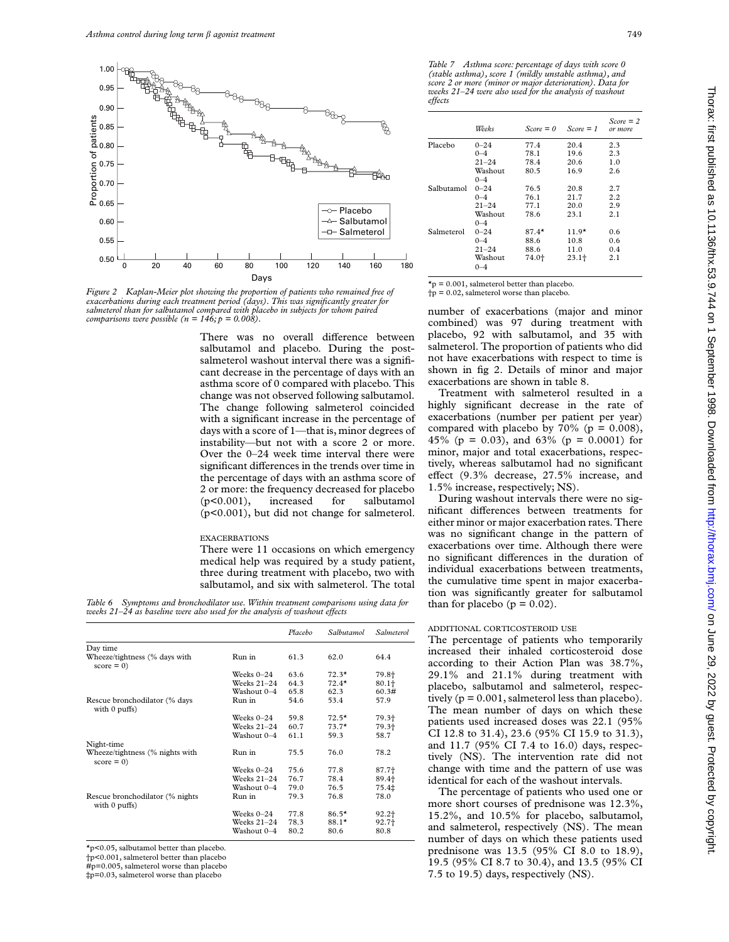

Figure 2 Kaplan-Meier plot showing the proportion of patients who remained free of *exacerbations during each treatment period (days). This was significantly greater for salmeterol than for salbutamol compared with placebo in subjects for whom paired comparisons were possible (n =*  $146$ *; p = 0.008)*.

There was no overall difference between salbutamol and placebo. During the postsalmeterol washout interval there was a significant decrease in the percentage of days with an asthma score of 0 compared with placebo. This change was not observed following salbutamol. The change following salmeterol coincided with a significant increase in the percentage of days with a score of 1—that is, minor degrees of instability—but not with a score 2 or more. Over the 0–24 week time interval there were significant differences in the trends over time in the percentage of days with an asthma score of 2 or more: the frequency decreased for placebo (p<0.001), increased for salbutamol (p<0.001), but did not change for salmeterol.

#### EXACERBATIONS

There were 11 occasions on which emergency medical help was required by a study patient, three during treatment with placebo, two with salbutamol, and six with salmeterol. The total

*Table 6 Symptoms and bronchodilator use. Within treatment comparisons using data for weeks*  $21-\tilde{24}$  *as baseline were also used for the analysis of washout effects* 

|                                                     |               | Placebo | Salbutamol | <i>Salmeterol</i> |
|-----------------------------------------------------|---------------|---------|------------|-------------------|
| Day time                                            |               |         |            |                   |
| Wheeze/tightness (% days with<br>$score = 0$        | Run in        | 61.3    | 62.0       | 64.4              |
|                                                     | Weeks $0-24$  | 63.6    | $72.3*$    | 79.8+             |
|                                                     | Weeks $21-24$ | 64.3    | $72.4*$    | $80.1+$           |
|                                                     | Washout 0-4   | 65.8    | 62.3       | 60.3#             |
| Rescue bronchodilator (% days<br>with $0$ puffs)    | Run in        | 54.6    | 53.4       | 57.9              |
|                                                     | Weeks $0-24$  | 59.8    | $72.5*$    | 79.3+             |
|                                                     | Weeks $21-24$ | 60.7    | $73.7*$    | 79.3+             |
|                                                     | Washout 0-4   | 61.1    | 59.3       | 58.7              |
| Night-time                                          |               |         |            |                   |
| Wheeze/tightness (% nights with<br>$score = 0$      | Run in        | 75.5    | 76.0       | 78.2              |
|                                                     | Weeks $0-24$  | 75.6    | 77.8       | 87.7+             |
|                                                     | Weeks $21-24$ | 76.7    | 78.4       | 89.4+             |
|                                                     | Washout 0-4   | 79.0    | 76.5       | 75.4‡             |
| Rescue bronchodilator (% nights)<br>with $0$ puffs) | Run in        | 79.3    | 76.8       | 78.0              |
|                                                     | Weeks $0-24$  | 77.8    | $86.5*$    | $92.2 +$          |
|                                                     | Weeks $21-24$ | 78.3    | $88.1*$    | 92.7+             |
|                                                     | Washout 0-4   | 80.2    | 80.6       | 80.8              |

\*p<0.05, salbutamol better than placebo.

†p<0.001, salmeterol better than placebo

#p=0.005, salmeterol worse than placebo

‡p=0.03, salmeterol worse than placebo

*Table 7 Asthma score: percentage of days with score 0 (stable asthma), score 1 (mildly unstable asthma), and score 2 or more (minor or major deterioration). Data for weeks 21–24 were also used for the analysis of washout eVects*

|            | Weeks              | $Score = 0$ | $Score = 1$ | $Score = 2$<br>or more |
|------------|--------------------|-------------|-------------|------------------------|
| Placebo    | $0 - 24$           | 77.4        | 20.4        | 2.3                    |
|            | $0 - 4$            | 78.1        | 19.6        | 2.3                    |
|            | $21 - 24$          | 78.4        | 20.6        | 1.0                    |
|            | Washout<br>$0 - 4$ | 80.5        | 16.9        | 2.6                    |
| Salbutamol | $0 - 24$           | 76.5        | 20.8        | 2.7                    |
|            | $0 - 4$            | 76.1        | 21.7        | 2.2                    |
|            | $21 - 24$          | 77.1        | 20.0        | 2.9                    |
|            | Washout<br>$0 - 4$ | 78.6        | 23.1        | 2.1                    |
| Salmeterol | $0 - 24$           | $87.4*$     | $11.9*$     | 0.6                    |
|            | $0 - 4$            | 88.6        | 10.8        | 0.6                    |
|            | $21 - 24$          | 88.6        | 11.0        | 0.4                    |
|            | Washout<br>$0 - 4$ | 74.0+       | $23.1+$     | 2.1                    |

 $\star$ p = 0.001, salmeterol better than placebo.<br> $\downarrow$ p = 0.02, salmeterol worse than placebo.

number of exacerbations (major and minor combined) was 97 during treatment with placebo, 92 with salbutamol, and 35 with salmeterol. The proportion of patients who did not have exacerbations with respect to time is shown in fig 2. Details of minor and major exacerbations are shown in table 8.

Treatment with salmeterol resulted in a highly significant decrease in the rate of exacerbations (number per patient per year) compared with placebo by  $70\%$  (p = 0.008), 45% (p = 0.03), and 63% (p = 0.0001) for minor, major and total exacerbations, respectively, whereas salbutamol had no significant effect  $(9.3\%$  decrease,  $27.5\%$  increase, and 1.5% increase, respectively; NS).

During washout intervals there were no significant differences between treatments for either minor or major exacerbation rates. There was no significant change in the pattern of exacerbations over time. Although there were no significant differences in the duration of individual exacerbations between treatments, the cumulative time spent in major exacerbation was significantly greater for salbutamol than for placebo ( $p = 0.02$ ).

## ADDITIONAL CORTICOSTEROID USE

The percentage of patients who temporarily increased their inhaled corticosteroid dose according to their Action Plan was 38.7%, 29.1% and 21.1% during treatment with placebo, salbutamol and salmeterol, respectively ( $p = 0.001$ , salmeterol less than placebo). The mean number of days on which these patients used increased doses was 22.1 (95% CI 12.8 to 31.4), 23.6 (95% CI 15.9 to 31.3), and 11.7 (95% CI 7.4 to 16.0) days, respectively (NS). The intervention rate did not change with time and the pattern of use was identical for each of the washout intervals.

The percentage of patients who used one or more short courses of prednisone was 12.3%, 15.2%, and 10.5% for placebo, salbutamol, and salmeterol, respectively (NS). The mean number of days on which these patients used prednisone was 13.5 (95% CI 8.0 to 18.9), 19.5 (95% CI 8.7 to 30.4), and 13.5 (95% CI 7.5 to 19.5) days, respectively (NS).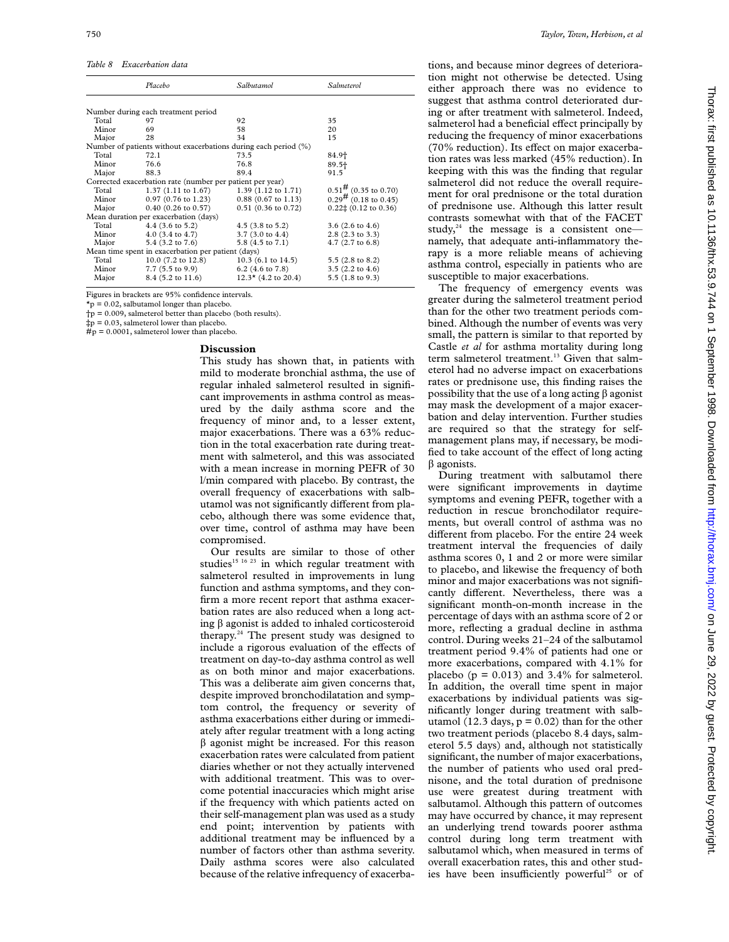*Table 8 Exacerbation data*

|                                                    | Placebo                                                         | Salbutamol                    | Salmeterol                                     |  |  |  |  |
|----------------------------------------------------|-----------------------------------------------------------------|-------------------------------|------------------------------------------------|--|--|--|--|
|                                                    |                                                                 |                               |                                                |  |  |  |  |
|                                                    | Number during each treatment period                             |                               |                                                |  |  |  |  |
| Total                                              | 97                                                              | 92                            | 35                                             |  |  |  |  |
| Minor                                              | 69                                                              | 58                            | 20                                             |  |  |  |  |
| Major                                              | 28                                                              | 34                            | 15                                             |  |  |  |  |
|                                                    | Number of patients without exacerbations during each period (%) |                               |                                                |  |  |  |  |
| Total                                              | 72.1                                                            | 73.5                          | 84.9†                                          |  |  |  |  |
| Minor                                              | 76.6                                                            | 76.8                          | 89.5+                                          |  |  |  |  |
| Major                                              | 88.3                                                            | 89.4                          | 91.5                                           |  |  |  |  |
|                                                    | Corrected exacerbation rate (number per patient per year)       |                               |                                                |  |  |  |  |
| Total                                              | 1.37 (1.11 to 1.67)                                             | $1.39(1.12 \text{ to } 1.71)$ | $0.51\frac{\text{#}}{\text{#}}$ (0.35 to 0.70) |  |  |  |  |
| Minor                                              | $0.97(0.76 \text{ to } 1.23)$                                   | $0.88(0.67 \text{ to } 1.13)$ | $0.29^{\frac{1}{11}}$ (0.18 to 0.45)           |  |  |  |  |
| Major                                              | $0.40$ (0.26 to 0.57)                                           | $0.51$ (0.36 to 0.72)         | $0.22\pm(0.12 \text{ to } 0.36)$               |  |  |  |  |
| Mean duration per exacerbation (days)              |                                                                 |                               |                                                |  |  |  |  |
| Total                                              | $4.4$ (3.6 to 5.2)                                              | $4.5$ (3.8 to 5.2)            | $3.6(2.6 \text{ to } 4.6)$                     |  |  |  |  |
| Minor                                              | 4.0 $(3.4 \text{ to } 4.7)$                                     | $3.7(3.0 \text{ to } 4.4)$    | $2.8$ (2.3 to 3.3)                             |  |  |  |  |
| Major                                              | 5.4 $(3.2 \text{ to } 7.6)$                                     | $5.8(4.5 \text{ to } 7.1)$    | 4.7 (2.7 to 6.8)                               |  |  |  |  |
| Mean time spent in exacerbation per patient (days) |                                                                 |                               |                                                |  |  |  |  |
| Total                                              | $10.0$ (7.2 to 12.8)                                            | $10.3$ (6.1 to 14.5)          | 5.5 $(2.8 \text{ to } 8.2)$                    |  |  |  |  |
| Minor                                              | $7.7(5.5 \text{ to } 9.9)$                                      | $6.2$ (4.6 to 7.8)            | $3.5$ $(2.2$ to $4.6)$                         |  |  |  |  |
| Major                                              | 8.4 (5.2 to 11.6)                                               | $12.3*$ (4.2 to 20.4)         | 5.5 $(1.8 \text{ to } 9.3)$                    |  |  |  |  |

Figures in brackets are 95% confidence intervals.

 $\star$ p = 0.02, salbutamol longer than placebo.

†p = 0.009, salmeterol better than placebo (both results).

‡p = 0.03, salmeterol lower than placebo.

 $#p = 0.0001$ , salmeterol lower than placebo.

# **Discussion**

This study has shown that, in patients with mild to moderate bronchial asthma, the use of regular inhaled salmeterol resulted in significant improvements in asthma control as measured by the daily asthma score and the frequency of minor and, to a lesser extent, major exacerbations. There was a 63% reduction in the total exacerbation rate during treatment with salmeterol, and this was associated with a mean increase in morning PEFR of 30 l/min compared with placebo. By contrast, the overall frequency of exacerbations with salbutamol was not significantly different from placebo, although there was some evidence that, over time, control of asthma may have been compromised.

Our results are similar to those of other studies<sup>15</sup> <sup>16</sup> <sup>23</sup> in which regular treatment with salmeterol resulted in improvements in lung function and asthma symptoms, and they confirm a more recent report that asthma exacerbation rates are also reduced when a long acting  $\beta$  agonist is added to inhaled corticosteroid therapy.24 The present study was designed to include a rigorous evaluation of the effects of treatment on day-to-day asthma control as well as on both minor and major exacerbations. This was a deliberate aim given concerns that, despite improved bronchodilatation and symptom control, the frequency or severity of asthma exacerbations either during or immediately after regular treatment with a long acting  $\beta$  agonist might be increased. For this reason exacerbation rates were calculated from patient diaries whether or not they actually intervened with additional treatment. This was to overcome potential inaccuracies which might arise if the frequency with which patients acted on their self-management plan was used as a study end point; intervention by patients with additional treatment may be influenced by a number of factors other than asthma severity. Daily asthma scores were also calculated because of the relative infrequency of exacerbations, and because minor degrees of deterioration might not otherwise be detected. Using either approach there was no evidence to suggest that asthma control deteriorated during or after treatment with salmeterol. Indeed, salmeterol had a beneficial effect principally by reducing the frequency of minor exacerbations  $(70\% \text{ reduction})$ . Its effect on major exacerbation rates was less marked (45% reduction). In keeping with this was the finding that regular salmeterol did not reduce the overall requirement for oral prednisone or the total duration of prednisone use. Although this latter result contrasts somewhat with that of the FACET study,<sup>24</sup> the message is a consistent one namely, that adequate anti-inflammatory therapy is a more reliable means of achieving asthma control, especially in patients who are susceptible to major exacerbations.

The frequency of emergency events was greater during the salmeterol treatment period than for the other two treatment periods combined. Although the number of events was very small, the pattern is similar to that reported by Castle *et al* for asthma mortality during long term salmeterol treatment.<sup>13</sup> Given that salmeterol had no adverse impact on exacerbations rates or prednisone use, this finding raises the possibility that the use of a long acting  $\beta$  agonist may mask the development of a major exacerbation and delay intervention. Further studies are required so that the strategy for selfmanagement plans may, if necessary, be modified to take account of the effect of long acting  $\beta$  agonists.

During treatment with salbutamol there were significant improvements in daytime symptoms and evening PEFR, together with a reduction in rescue bronchodilator requirements, but overall control of asthma was no different from placebo. For the entire 24 week treatment interval the frequencies of daily asthma scores 0, 1 and 2 or more were similar to placebo, and likewise the frequency of both minor and major exacerbations was not significantly different. Nevertheless, there was a significant month-on-month increase in the percentage of days with an asthma score of 2 or more, reflecting a gradual decline in asthma control. During weeks 21–24 of the salbutamol treatment period 9.4% of patients had one or more exacerbations, compared with 4.1% for placebo ( $p = 0.013$ ) and 3.4% for salmeterol. In addition, the overall time spent in major exacerbations by individual patients was significantly longer during treatment with salbutamol (12.3 days,  $p = 0.02$ ) than for the other two treatment periods (placebo 8.4 days, salmeterol 5.5 days) and, although not statistically significant, the number of major exacerbations, the number of patients who used oral prednisone, and the total duration of prednisone use were greatest during treatment with salbutamol. Although this pattern of outcomes may have occurred by chance, it may represent an underlying trend towards poorer asthma control during long term treatment with salbutamol which, when measured in terms of overall exacerbation rates, this and other studies have been insufficiently powerful<sup>25</sup> or of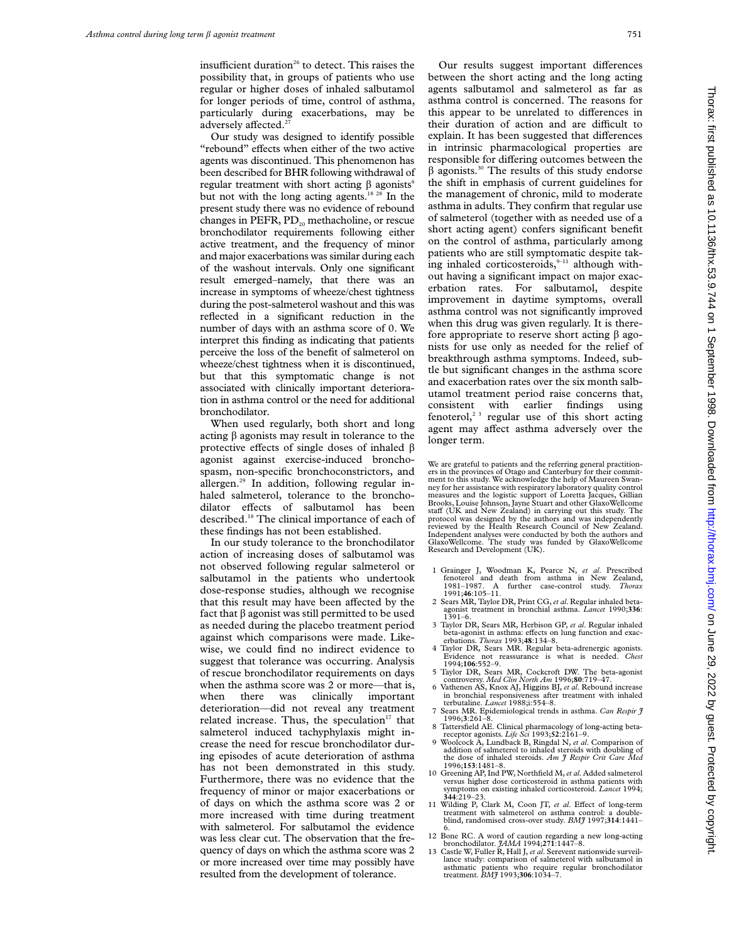insufficient duration<sup>26</sup> to detect. This raises the possibility that, in groups of patients who use regular or higher doses of inhaled salbutamol for longer periods of time, control of asthma, particularly during exacerbations, may be adversely affected.<sup>2</sup>

Our study was designed to identify possible "rebound" effects when either of the two active agents was discontinued. This phenomenon has been described for BHR following withdrawal of regular treatment with short acting  $\beta$  agonists<sup>6</sup> but not with the long acting agents.<sup>18 28</sup> In the present study there was no evidence of rebound changes in PEFR,  $PD_{20}$  methacholine, or rescue bronchodilator requirements following either active treatment, and the frequency of minor and major exacerbations was similar during each of the washout intervals. Only one significant result emerged–namely, that there was an increase in symptoms of wheeze/chest tightness during the post-salmeterol washout and this was reflected in a significant reduction in the number of days with an asthma score of 0. We interpret this finding as indicating that patients perceive the loss of the benefit of salmeterol on wheeze/chest tightness when it is discontinued, but that this symptomatic change is not associated with clinically important deterioration in asthma control or the need for additional bronchodilator.

When used regularly, both short and long acting  $\beta$  agonists may result in tolerance to the protective effects of single doses of inhaled  $\beta$ agonist against exercise-induced bronchospasm, non-specific bronchoconstrictors, and allergen.29 In addition, following regular inhaled salmeterol, tolerance to the bronchodilator effects of salbutamol has been described.18 The clinical importance of each of these findings has not been established.

In our study tolerance to the bronchodilator action of increasing doses of salbutamol was not observed following regular salmeterol or salbutamol in the patients who undertook dose-response studies, although we recognise that this result may have been affected by the fact that  $\beta$  agonist was still permitted to be used as needed during the placebo treatment period against which comparisons were made. Likewise, we could find no indirect evidence to suggest that tolerance was occurring. Analysis of rescue bronchodilator requirements on days when the asthma score was 2 or more—that is, when there was clinically important deterioration—did not reveal any treatment related increase. Thus, the speculation $17$  that salmeterol induced tachyphylaxis might increase the need for rescue bronchodilator during episodes of acute deterioration of asthma has not been demonstrated in this study. Furthermore, there was no evidence that the frequency of minor or major exacerbations or of days on which the asthma score was 2 or more increased with time during treatment with salmeterol. For salbutamol the evidence was less clear cut. The observation that the frequency of days on which the asthma score was 2 or more increased over time may possibly have resulted from the development of tolerance.

Our results suggest important differences between the short acting and the long acting agents salbutamol and salmeterol as far as asthma control is concerned. The reasons for this appear to be unrelated to differences in their duration of action and are difficult to explain. It has been suggested that differences in intrinsic pharmacological properties are responsible for differing outcomes between the  $\beta$  agonists.<sup>30</sup> The results of this study endorse the shift in emphasis of current guidelines for the management of chronic, mild to moderate asthma in adults. They confirm that regular use of salmeterol (together with as needed use of a short acting agent) confers significant benefit on the control of asthma, particularly among patients who are still symptomatic despite taking inhaled corticosteroids, $9-11$  although without having a significant impact on major exacerbation rates. For salbutamol, despite improvement in daytime symptoms, overall asthma control was not significantly improved when this drug was given regularly. It is therefore appropriate to reserve short acting  $\beta$  agonists for use only as needed for the relief of breakthrough asthma symptoms. Indeed, subtle but significant changes in the asthma score and exacerbation rates over the six month salbutamol treatment period raise concerns that, consistent with earlier findings using fenoterol,<sup>23</sup> regular use of this short acting agent may affect asthma adversely over the longer term.

We are grateful to patients and the referring general practitioners in the provinces of Otago and Canterbury for their commit-ment to this study. We acknowledge the help of Maureen Swan-ney for her assistance with respiratory laboratory quality control measures and the logistic support of Loretta Jacques, Gillian Brooks, Louise Johnson, Jayne Stuart and other GlaxoWellcome staff (UK and New Zealand) in carrying out this study. The protocol was designed by the authors and was independently reviewed by the Health Research Council of New Zealand. Independent analyses were conducted by both the authors and GlaxoWellcome. The study was funded by GlaxoWellcome Research and Development (UK).

- 1 Grainger J, Woodman K, Pearce N, *et al*. Prescribed fenoterol and death from asthma in New Zealand, 1981–1987. A further case-control study. *Thorax* 1991;**46**:105–11.
- 2 Sears MR, Taylor DR, Print CG,*et al*. Regular inhaled betaagonist treatment in bronchial asthma. *Lancet* 1990;**336**: 1391–6.
- 3 Taylor DR, Sears MR, Herbison GP, *et al*. Regular inhaled beta-agonist in asthma: effects on lung function and exacerbations. *Thorax* 1993;**48**:134–8.
- 4 Taylor DR, Sears MR. Regular beta-adrenergic agonists. Evidence not reassurance is what is needed. *Chest* 1994;**106**:552–9.
- 5 Taylor DR, Sears MR, Cockcroft DW. The beta-agonist
- controversy. *Med Clin North Am* 1996;**80**:719–47. 6 Vathenen AS, Knox AJ, Higgins BJ, *et al*. Rebound increase in bronchial responsiveness after treatment with inhaled terbutaline. *Lancet* 1988;i:554–8.
- 7 Sears MR. Epidemiological trends in asthma. *Can Respir J*
- 1996;3:261–8.<br>8 Tattersfield AE. Clinical pharmacology of long-acting beta-<br>receptor agonists. *Life Sci* 1993;52:2161–9.
- receptor agonists.  $Life Sci$  1993;52:2161-9.<br>9 Woolcock A, Lundback B, Ringdal N, et al. Comparison of addition of salmeterol to inhaled steroids with doubling of the dose of inhaled steroids. Am  $\tilde{f}$  Respir Crit Care Me 1996;**153**:1481–8. 10 Greening AP, Ind PW, Northfield M,*et al*. Added salmeterol
- versus higher dose corticosteroid in asthma patients with symptoms on existing inhaled corticosteroid. *Lancet* 1994; **<sup>344</sup>**:219–23.
- 11 Wilding P, Clark M, Coon IT, et al. Effect of long-term treatment with salmeterol on asthma control: a doubleblind, randomised cross-over study. *BMJ* 1997;**314**:1441–
- 12 Bone RC. A word of caution regarding a new long-acting
- bronchodilator. *JAMA* 1994;271:1447–8.<br>13 Castle W, Fuller R, Hall J, *et al*. Serevent nationwide surveil-<br>lance study: comparison of salmeterol with salbutamol in asthmatic patients who require regular bronchodilator treatment. *BMJ* 1993;**306**:1034–7.